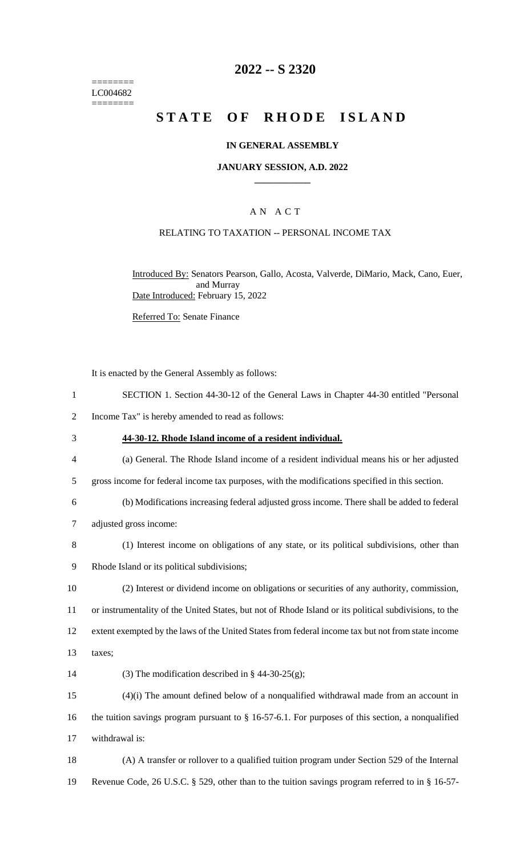======== LC004682 ========

## **2022 -- S 2320**

# **STATE OF RHODE ISLAND**

#### **IN GENERAL ASSEMBLY**

#### **JANUARY SESSION, A.D. 2022 \_\_\_\_\_\_\_\_\_\_\_\_**

### A N A C T

#### RELATING TO TAXATION -- PERSONAL INCOME TAX

Introduced By: Senators Pearson, Gallo, Acosta, Valverde, DiMario, Mack, Cano, Euer, and Murray Date Introduced: February 15, 2022

Referred To: Senate Finance

It is enacted by the General Assembly as follows:

- 1 SECTION 1. Section 44-30-12 of the General Laws in Chapter 44-30 entitled "Personal
- 2 Income Tax" is hereby amended to read as follows:
- 3 **44-30-12. Rhode Island income of a resident individual.**
- 4 (a) General. The Rhode Island income of a resident individual means his or her adjusted
- 5 gross income for federal income tax purposes, with the modifications specified in this section.
- 6 (b) Modifications increasing federal adjusted gross income. There shall be added to federal 7 adjusted gross income:
- 8 (1) Interest income on obligations of any state, or its political subdivisions, other than
- 9 Rhode Island or its political subdivisions;
- 10 (2) Interest or dividend income on obligations or securities of any authority, commission, 11 or instrumentality of the United States, but not of Rhode Island or its political subdivisions, to the 12 extent exempted by the laws of the United States from federal income tax but not from state income
- 13 taxes;
- 14 (3) The modification described in  $\S$  44-30-25(g);

15 (4)(i) The amount defined below of a nonqualified withdrawal made from an account in 16 the tuition savings program pursuant to § 16-57-6.1. For purposes of this section, a nonqualified 17 withdrawal is:

18 (A) A transfer or rollover to a qualified tuition program under Section 529 of the Internal 19 Revenue Code, 26 U.S.C. § 529, other than to the tuition savings program referred to in § 16-57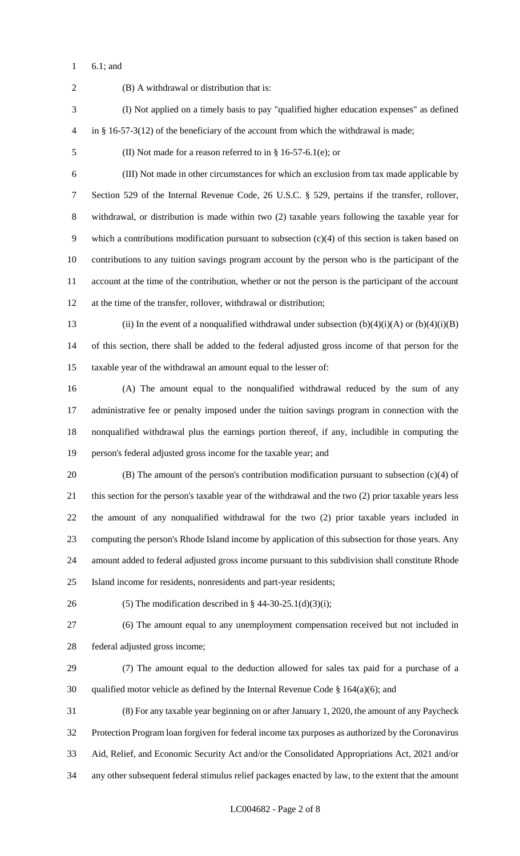6.1; and

 (B) A withdrawal or distribution that is: (I) Not applied on a timely basis to pay "qualified higher education expenses" as defined in § 16-57-3(12) of the beneficiary of the account from which the withdrawal is made; (II) Not made for a reason referred to in § 16-57-6.1(e); or (III) Not made in other circumstances for which an exclusion from tax made applicable by Section 529 of the Internal Revenue Code, 26 U.S.C. § 529, pertains if the transfer, rollover, withdrawal, or distribution is made within two (2) taxable years following the taxable year for which a contributions modification pursuant to subsection (c)(4) of this section is taken based on contributions to any tuition savings program account by the person who is the participant of the account at the time of the contribution, whether or not the person is the participant of the account at the time of the transfer, rollover, withdrawal or distribution; 13 (ii) In the event of a nonqualified withdrawal under subsection  $(b)(4)(i)(A)$  or  $(b)(4)(i)(B)$  of this section, there shall be added to the federal adjusted gross income of that person for the taxable year of the withdrawal an amount equal to the lesser of: (A) The amount equal to the nonqualified withdrawal reduced by the sum of any administrative fee or penalty imposed under the tuition savings program in connection with the nonqualified withdrawal plus the earnings portion thereof, if any, includible in computing the person's federal adjusted gross income for the taxable year; and (B) The amount of the person's contribution modification pursuant to subsection (c)(4) of this section for the person's taxable year of the withdrawal and the two (2) prior taxable years less the amount of any nonqualified withdrawal for the two (2) prior taxable years included in computing the person's Rhode Island income by application of this subsection for those years. Any amount added to federal adjusted gross income pursuant to this subdivision shall constitute Rhode Island income for residents, nonresidents and part-year residents; 26 (5) The modification described in  $\S$  44-30-25.1(d)(3)(i); (6) The amount equal to any unemployment compensation received but not included in federal adjusted gross income; (7) The amount equal to the deduction allowed for sales tax paid for a purchase of a 30 qualified motor vehicle as defined by the Internal Revenue Code  $\S$  164(a)(6); and (8) For any taxable year beginning on or after January 1, 2020, the amount of any Paycheck Protection Program loan forgiven for federal income tax purposes as authorized by the Coronavirus Aid, Relief, and Economic Security Act and/or the Consolidated Appropriations Act, 2021 and/or any other subsequent federal stimulus relief packages enacted by law, to the extent that the amount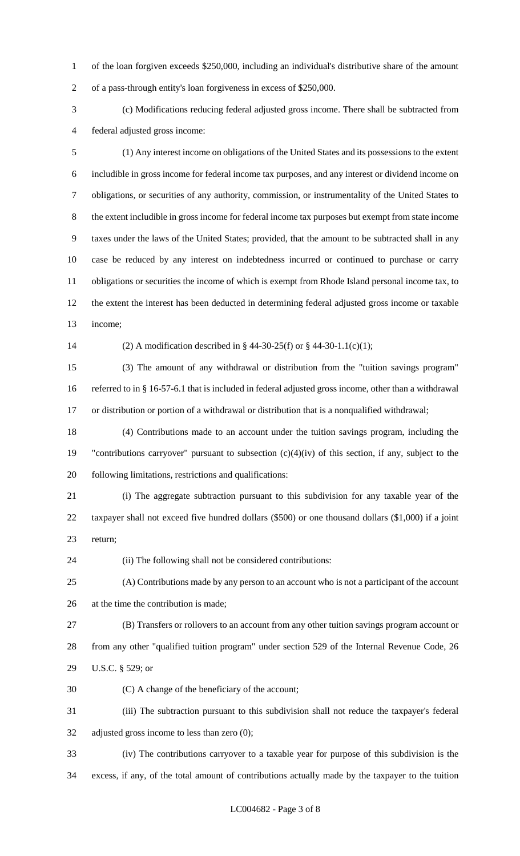of the loan forgiven exceeds \$250,000, including an individual's distributive share of the amount of a pass-through entity's loan forgiveness in excess of \$250,000.

 (c) Modifications reducing federal adjusted gross income. There shall be subtracted from federal adjusted gross income:

 (1) Any interest income on obligations of the United States and its possessions to the extent includible in gross income for federal income tax purposes, and any interest or dividend income on obligations, or securities of any authority, commission, or instrumentality of the United States to the extent includible in gross income for federal income tax purposes but exempt from state income taxes under the laws of the United States; provided, that the amount to be subtracted shall in any case be reduced by any interest on indebtedness incurred or continued to purchase or carry obligations or securities the income of which is exempt from Rhode Island personal income tax, to the extent the interest has been deducted in determining federal adjusted gross income or taxable income;

(2) A modification described in § 44-30-25(f) or § 44-30-1.1(c)(1);

 (3) The amount of any withdrawal or distribution from the "tuition savings program" referred to in § 16-57-6.1 that is included in federal adjusted gross income, other than a withdrawal or distribution or portion of a withdrawal or distribution that is a nonqualified withdrawal;

 (4) Contributions made to an account under the tuition savings program, including the "contributions carryover" pursuant to subsection (c)(4)(iv) of this section, if any, subject to the following limitations, restrictions and qualifications:

 (i) The aggregate subtraction pursuant to this subdivision for any taxable year of the taxpayer shall not exceed five hundred dollars (\$500) or one thousand dollars (\$1,000) if a joint return;

(ii) The following shall not be considered contributions:

 (A) Contributions made by any person to an account who is not a participant of the account at the time the contribution is made;

 (B) Transfers or rollovers to an account from any other tuition savings program account or from any other "qualified tuition program" under section 529 of the Internal Revenue Code, 26 U.S.C. § 529; or

(C) A change of the beneficiary of the account;

 (iii) The subtraction pursuant to this subdivision shall not reduce the taxpayer's federal adjusted gross income to less than zero (0);

 (iv) The contributions carryover to a taxable year for purpose of this subdivision is the excess, if any, of the total amount of contributions actually made by the taxpayer to the tuition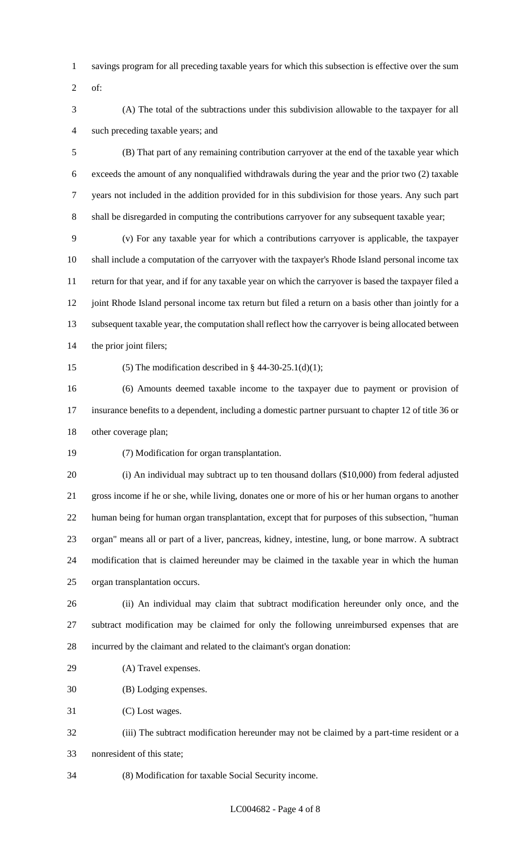- savings program for all preceding taxable years for which this subsection is effective over the sum
- of:
- (A) The total of the subtractions under this subdivision allowable to the taxpayer for all such preceding taxable years; and

 (B) That part of any remaining contribution carryover at the end of the taxable year which exceeds the amount of any nonqualified withdrawals during the year and the prior two (2) taxable years not included in the addition provided for in this subdivision for those years. Any such part shall be disregarded in computing the contributions carryover for any subsequent taxable year;

 (v) For any taxable year for which a contributions carryover is applicable, the taxpayer shall include a computation of the carryover with the taxpayer's Rhode Island personal income tax return for that year, and if for any taxable year on which the carryover is based the taxpayer filed a 12 joint Rhode Island personal income tax return but filed a return on a basis other than jointly for a subsequent taxable year, the computation shall reflect how the carryover is being allocated between the prior joint filers;

15 (5) The modification described in  $\S$  44-30-25.1(d)(1);

 (6) Amounts deemed taxable income to the taxpayer due to payment or provision of insurance benefits to a dependent, including a domestic partner pursuant to chapter 12 of title 36 or other coverage plan;

(7) Modification for organ transplantation.

 (i) An individual may subtract up to ten thousand dollars (\$10,000) from federal adjusted gross income if he or she, while living, donates one or more of his or her human organs to another human being for human organ transplantation, except that for purposes of this subsection, "human organ" means all or part of a liver, pancreas, kidney, intestine, lung, or bone marrow. A subtract modification that is claimed hereunder may be claimed in the taxable year in which the human organ transplantation occurs.

 (ii) An individual may claim that subtract modification hereunder only once, and the subtract modification may be claimed for only the following unreimbursed expenses that are incurred by the claimant and related to the claimant's organ donation:

(A) Travel expenses.

(B) Lodging expenses.

(C) Lost wages.

 (iii) The subtract modification hereunder may not be claimed by a part-time resident or a nonresident of this state;

(8) Modification for taxable Social Security income.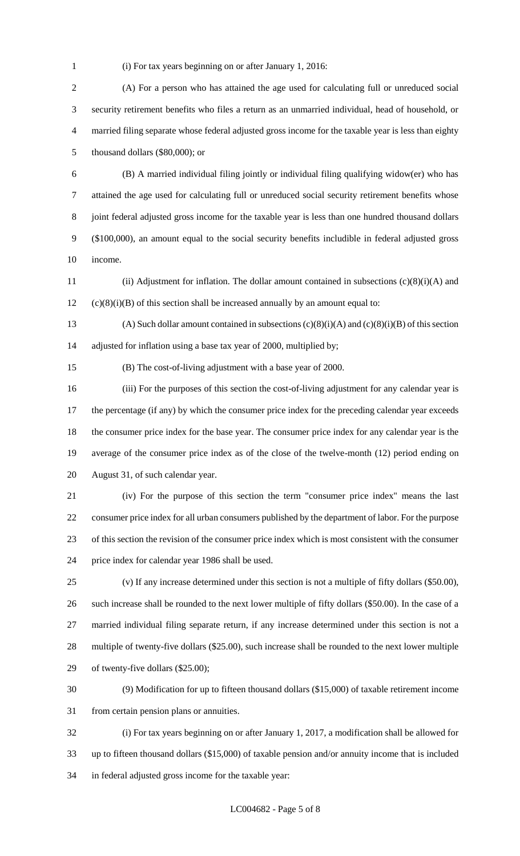(i) For tax years beginning on or after January 1, 2016:

 (A) For a person who has attained the age used for calculating full or unreduced social security retirement benefits who files a return as an unmarried individual, head of household, or married filing separate whose federal adjusted gross income for the taxable year is less than eighty thousand dollars (\$80,000); or

 (B) A married individual filing jointly or individual filing qualifying widow(er) who has attained the age used for calculating full or unreduced social security retirement benefits whose joint federal adjusted gross income for the taxable year is less than one hundred thousand dollars (\$100,000), an amount equal to the social security benefits includible in federal adjusted gross income.

 (ii) Adjustment for inflation. The dollar amount contained in subsections (c)(8)(i)(A) and (c)(8)(i)(B) of this section shall be increased annually by an amount equal to:

13 (A) Such dollar amount contained in subsections  $(c)(8)(i)(A)$  and  $(c)(8)(i)(B)$  of this section adjusted for inflation using a base tax year of 2000, multiplied by;

(B) The cost-of-living adjustment with a base year of 2000.

 (iii) For the purposes of this section the cost-of-living adjustment for any calendar year is 17 the percentage (if any) by which the consumer price index for the preceding calendar year exceeds the consumer price index for the base year. The consumer price index for any calendar year is the average of the consumer price index as of the close of the twelve-month (12) period ending on August 31, of such calendar year.

 (iv) For the purpose of this section the term "consumer price index" means the last consumer price index for all urban consumers published by the department of labor. For the purpose of this section the revision of the consumer price index which is most consistent with the consumer price index for calendar year 1986 shall be used.

 (v) If any increase determined under this section is not a multiple of fifty dollars (\$50.00), such increase shall be rounded to the next lower multiple of fifty dollars (\$50.00). In the case of a married individual filing separate return, if any increase determined under this section is not a multiple of twenty-five dollars (\$25.00), such increase shall be rounded to the next lower multiple of twenty-five dollars (\$25.00);

 (9) Modification for up to fifteen thousand dollars (\$15,000) of taxable retirement income from certain pension plans or annuities.

 (i) For tax years beginning on or after January 1, 2017, a modification shall be allowed for up to fifteen thousand dollars (\$15,000) of taxable pension and/or annuity income that is included in federal adjusted gross income for the taxable year: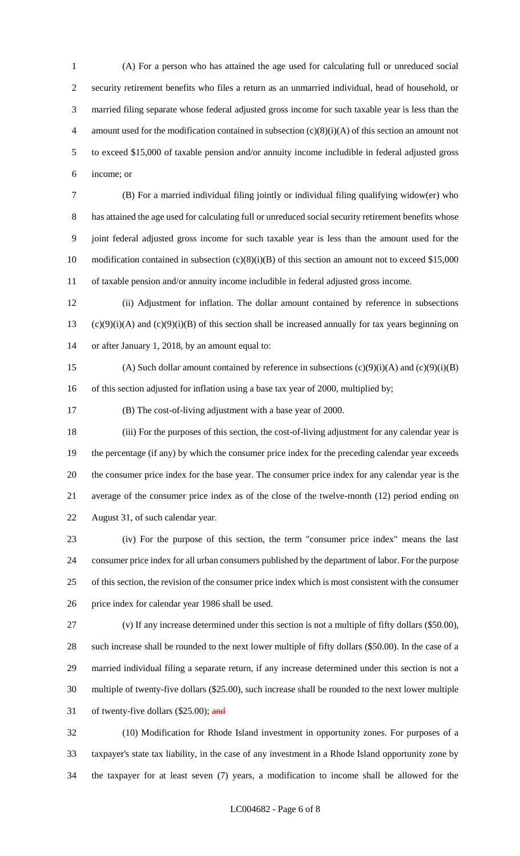(A) For a person who has attained the age used for calculating full or unreduced social security retirement benefits who files a return as an unmarried individual, head of household, or married filing separate whose federal adjusted gross income for such taxable year is less than the 4 amount used for the modification contained in subsection  $(c)(8)(i)(A)$  of this section an amount not to exceed \$15,000 of taxable pension and/or annuity income includible in federal adjusted gross income; or

 (B) For a married individual filing jointly or individual filing qualifying widow(er) who has attained the age used for calculating full or unreduced social security retirement benefits whose joint federal adjusted gross income for such taxable year is less than the amount used for the 10 modification contained in subsection (c)(8)(i)(B) of this section an amount not to exceed \$15,000 of taxable pension and/or annuity income includible in federal adjusted gross income.

 (ii) Adjustment for inflation. The dollar amount contained by reference in subsections 13 (c)(9)(i)(A) and (c)(9)(i)(B) of this section shall be increased annually for tax years beginning on or after January 1, 2018, by an amount equal to:

15 (A) Such dollar amount contained by reference in subsections  $(c)(9)(i)(A)$  and  $(c)(9)(i)(B)$ 16 of this section adjusted for inflation using a base tax year of 2000, multiplied by;

(B) The cost-of-living adjustment with a base year of 2000.

 (iii) For the purposes of this section, the cost-of-living adjustment for any calendar year is the percentage (if any) by which the consumer price index for the preceding calendar year exceeds the consumer price index for the base year. The consumer price index for any calendar year is the average of the consumer price index as of the close of the twelve-month (12) period ending on August 31, of such calendar year.

 (iv) For the purpose of this section, the term "consumer price index" means the last consumer price index for all urban consumers published by the department of labor. For the purpose of this section, the revision of the consumer price index which is most consistent with the consumer price index for calendar year 1986 shall be used.

 (v) If any increase determined under this section is not a multiple of fifty dollars (\$50.00), such increase shall be rounded to the next lower multiple of fifty dollars (\$50.00). In the case of a married individual filing a separate return, if any increase determined under this section is not a multiple of twenty-five dollars (\$25.00), such increase shall be rounded to the next lower multiple 31 of twenty-five dollars  $(\$25.00)$ ; and

 (10) Modification for Rhode Island investment in opportunity zones. For purposes of a taxpayer's state tax liability, in the case of any investment in a Rhode Island opportunity zone by the taxpayer for at least seven (7) years, a modification to income shall be allowed for the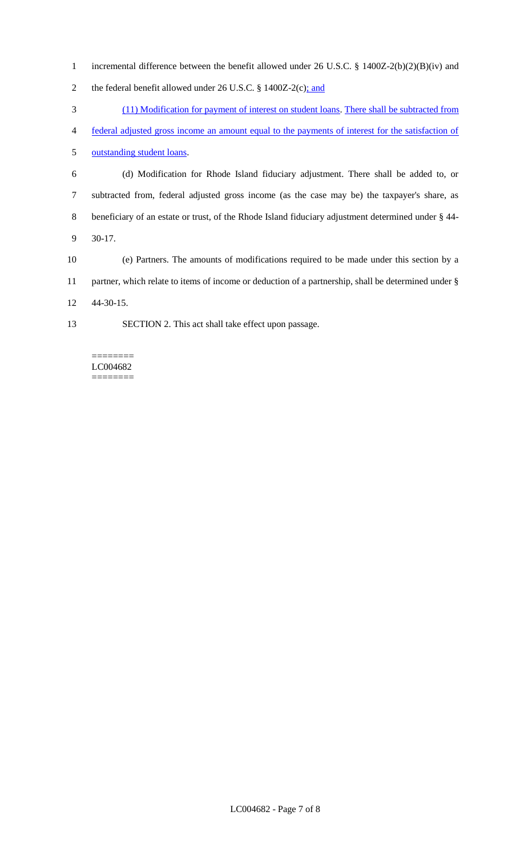- incremental difference between the benefit allowed under 26 U.S.C. § 1400Z-2(b)(2)(B)(iv) and
- 2 the federal benefit allowed under 26 U.S.C. § 1400Z-2(c); and
- (11) Modification for payment of interest on student loans. There shall be subtracted from
- federal adjusted gross income an amount equal to the payments of interest for the satisfaction of

outstanding student loans.

- (d) Modification for Rhode Island fiduciary adjustment. There shall be added to, or subtracted from, federal adjusted gross income (as the case may be) the taxpayer's share, as beneficiary of an estate or trust, of the Rhode Island fiduciary adjustment determined under § 44- 30-17.
- (e) Partners. The amounts of modifications required to be made under this section by a partner, which relate to items of income or deduction of a partnership, shall be determined under § 44-30-15.
- SECTION 2. This act shall take effect upon passage.

LC004682 ========

 $=$